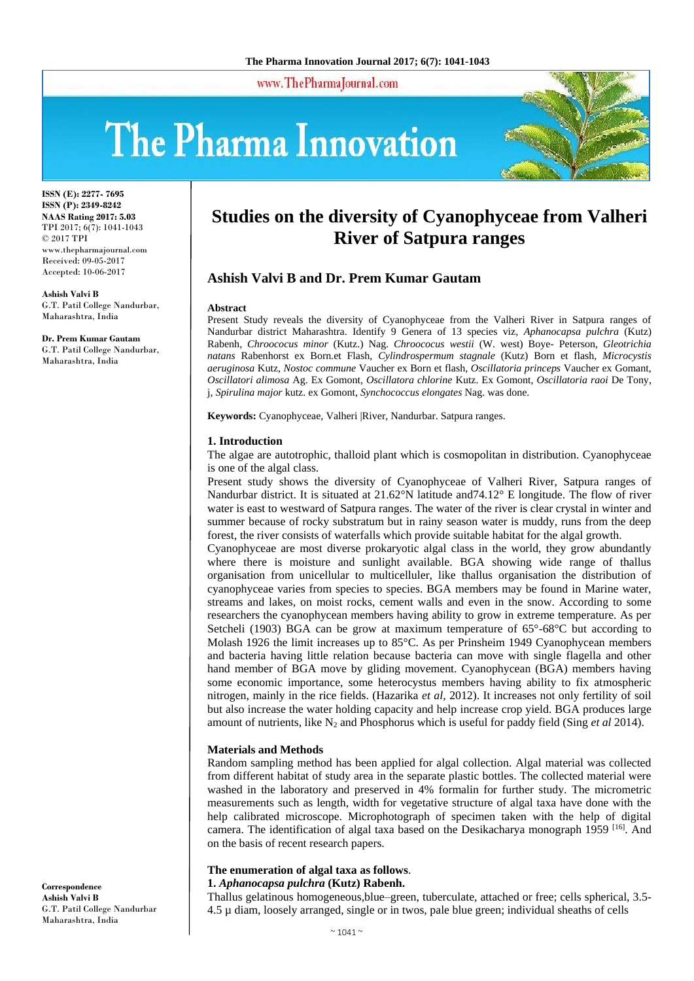www.ThePharmaJournal.com

# The Pharma Innovation



**ISSN (E): 2277- 7695 ISSN (P): 2349-8242 NAAS Rating 2017: 5.03** TPI 2017; 6(7): 1041-1043 © 2017 TPI www.thepharmajournal.com Received: 09-05-2017 Accepted: 10-06-2017

**Ashish Valvi B** G.T. Patil College Nandurbar, Maharashtra, India

**Dr. Prem Kumar Gautam** G.T. Patil College Nandurbar, Maharashtra, India

# **Studies on the diversity of Cyanophyceae from Valheri River of Satpura ranges**

# **Ashish Valvi B and Dr. Prem Kumar Gautam**

#### **Abstract**

Present Study reveals the diversity of Cyanophyceae from the Valheri River in Satpura ranges of Nandurbar district Maharashtra. Identify 9 Genera of 13 species viz, *Aphanocapsa pulchra* (Kutz) Rabenh, *Chroococus minor* (Kutz.) Nag. *Chroococus westii* (W. west) Boye- Peterson, *Gleotrichia natans* Rabenhorst ex Born.et Flash, *Cylindrospermum stagnale* (Kutz) Born et flash, *Microcystis aeruginosa* Kutz, *Nostoc commune* Vaucher ex Born et flash, *Oscillatoria princeps* Vaucher ex Gomant, *Oscillatori alimosa* Ag. Ex Gomont, *Oscillatora chlorine* Kutz. Ex Gomont, *Oscillatoria raoi* De Tony, j, *Spirulina major* kutz. ex Gomont, *Synchococcus elongates* Nag. was done.

**Keywords:** Cyanophyceae, Valheri |River, Nandurbar. Satpura ranges.

# **1. Introduction**

The algae are autotrophic, thalloid plant which is cosmopolitan in distribution. Cyanophyceae is one of the algal class.

Present study shows the diversity of Cyanophyceae of Valheri River, Satpura ranges of Nandurbar district. It is situated at 21.62°N latitude and74.12° E longitude. The flow of river water is east to westward of Satpura ranges. The water of the river is clear crystal in winter and summer because of rocky substratum but in rainy season water is muddy, runs from the deep forest, the river consists of waterfalls which provide suitable habitat for the algal growth.

Cyanophyceae are most diverse prokaryotic algal class in the world, they grow abundantly where there is moisture and sunlight available. BGA showing wide range of thallus organisation from unicellular to multicelluler, like thallus organisation the distribution of cyanophyceae varies from species to species. BGA members may be found in Marine water, streams and lakes, on moist rocks, cement walls and even in the snow. According to some researchers the cyanophycean members having ability to grow in extreme temperature. As per Setcheli (1903) BGA can be grow at maximum temperature of 65°-68°C but according to Molash 1926 the limit increases up to 85°C. As per Prinsheim 1949 Cyanophycean members and bacteria having little relation because bacteria can move with single flagella and other hand member of BGA move by gliding movement. Cyanophycean (BGA) members having some economic importance, some heterocystus members having ability to fix atmospheric nitrogen, mainly in the rice fields. (Hazarika *et al*, 2012). It increases not only fertility of soil but also increase the water holding capacity and help increase crop yield. BGA produces large amount of nutrients, like N<sub>2</sub> and Phosphorus which is useful for paddy field (Sing *et al* 2014).

# **Materials and Methods**

Random sampling method has been applied for algal collection. Algal material was collected from different habitat of study area in the separate plastic bottles. The collected material were washed in the laboratory and preserved in 4% formalin for further study. The micrometric measurements such as length, width for vegetative structure of algal taxa have done with the help calibrated microscope. Microphotograph of specimen taken with the help of digital camera. The identification of algal taxa based on the Desikacharya monograph 1959<sup>[16]</sup>. And on the basis of recent research papers.

# **The enumeration of algal taxa as follows**.

# **1.** *Aphanocapsa pulchra* **(Kutz) Rabenh.**

Thallus gelatinous homogeneous,blue–green, tuberculate, attached or free; cells spherical, 3.5- 4.5 µ diam, loosely arranged, single or in twos, pale blue green; individual sheaths of cells

**Correspondence Ashish Valvi B** G.T. Patil College Nandurbar Maharashtra, India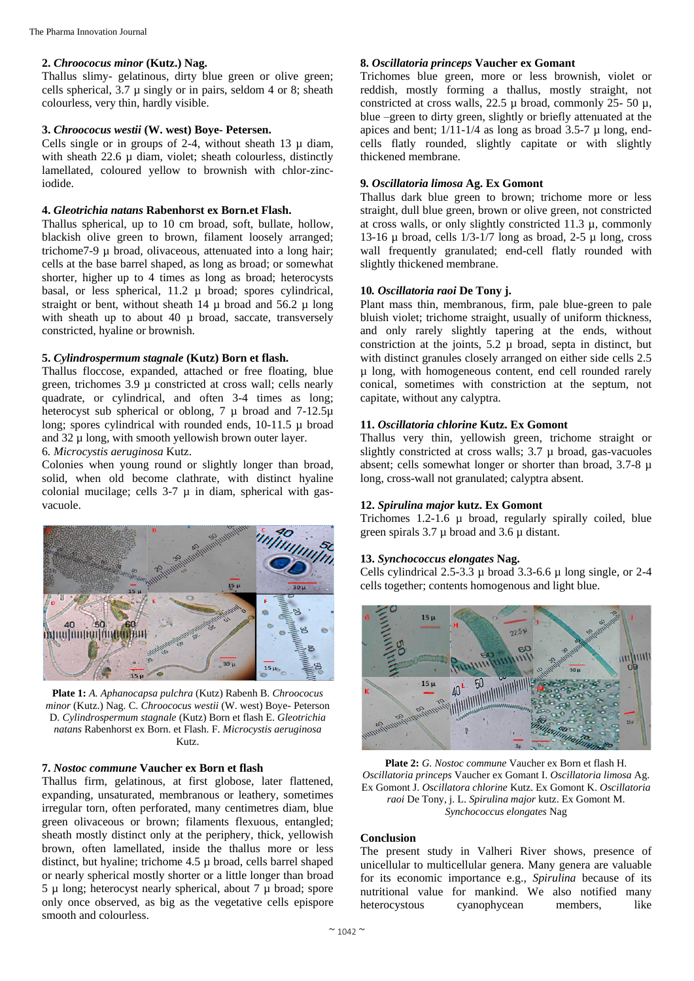# **2.** *Chroococus minor* **(Kutz.) Nag.**

Thallus slimy- gelatinous, dirty blue green or olive green; cells spherical,  $3.7 \mu$  singly or in pairs, seldom 4 or 8; sheath colourless, very thin, hardly visible.

#### **3.** *Chroococus westii* **(W. west) Boye- Petersen.**

Cells single or in groups of 2-4, without sheath  $13 \mu$  diam, with sheath 22.6  $\mu$  diam, violet; sheath colourless, distinctly lamellated, coloured yellow to brownish with chlor-zinciodide.

# **4.** *Gleotrichia natans* **Rabenhorst ex Born.et Flash.**

Thallus spherical, up to 10 cm broad, soft, bullate, hollow, blackish olive green to brown, filament loosely arranged; trichome7-9 µ broad, olivaceous, attenuated into a long hair; cells at the base barrel shaped, as long as broad; or somewhat shorter, higher up to 4 times as long as broad; heterocysts basal, or less spherical, 11.2 µ broad; spores cylindrical, straight or bent, without sheath  $14 \mu$  broad and  $56.2 \mu$  long with sheath up to about 40 µ broad, saccate, transversely constricted, hyaline or brownish.

#### **5.** *Cylindrospermum stagnale* **(Kutz) Born et flash.**

Thallus floccose, expanded, attached or free floating, blue green, trichomes 3.9 µ constricted at cross wall; cells nearly quadrate, or cylindrical, and often 3-4 times as long; heterocyst sub spherical or oblong, 7  $\mu$  broad and 7-12.5 $\mu$ long; spores cylindrical with rounded ends, 10-11.5 µ broad and  $32 \mu$  long, with smooth yellowish brown outer layer.

# 6*. Microcystis aeruginosa* Kutz.

Colonies when young round or slightly longer than broad, solid, when old become clathrate, with distinct hyaline colonial mucilage; cells  $3-7$   $\mu$  in diam, spherical with gasvacuole.



**Plate 1:** *A. Aphanocapsa pulchra* (Kutz) Rabenh B. *Chroococus minor* (Kutz.) Nag. C. *Chroococus westii* (W. west) Boye- Peterson D. *Cylindrospermum stagnale* (Kutz) Born et flash E. *Gleotrichia natans* Rabenhorst ex Born. et Flash. F. *Microcystis aeruginosa*  Kutz.

# **7.** *Nostoc commune* **Vaucher ex Born et flash**

Thallus firm, gelatinous, at first globose, later flattened, expanding, unsaturated, membranous or leathery, sometimes irregular torn, often perforated, many centimetres diam, blue green olivaceous or brown; filaments flexuous, entangled; sheath mostly distinct only at the periphery, thick, yellowish brown, often lamellated, inside the thallus more or less distinct, but hyaline; trichome 4.5 µ broad, cells barrel shaped or nearly spherical mostly shorter or a little longer than broad  $5 \mu$  long; heterocyst nearly spherical, about  $7 \mu$  broad; spore only once observed, as big as the vegetative cells epispore smooth and colourless.

# **8.** *Oscillatoria princeps* **Vaucher ex Gomant**

Trichomes blue green, more or less brownish, violet or reddish, mostly forming a thallus, mostly straight, not constricted at cross walls, 22.5 µ broad, commonly 25- 50 µ, blue –green to dirty green, slightly or briefly attenuated at the apices and bent;  $1/11$ -1/4 as long as broad 3.5-7  $\mu$  long, endcells flatly rounded, slightly capitate or with slightly thickened membrane.

# **9***. Oscillatoria limosa* **Ag. Ex Gomont**

Thallus dark blue green to brown; trichome more or less straight, dull blue green, brown or olive green, not constricted at cross walls, or only slightly constricted 11.3  $\mu$ , commonly 13-16  $\mu$  broad, cells 1/3-1/7 long as broad, 2-5  $\mu$  long, cross wall frequently granulated; end-cell flatly rounded with slightly thickened membrane.

# **10***. Oscillatoria raoi* **De Tony j.**

Plant mass thin, membranous, firm, pale blue-green to pale bluish violet; trichome straight, usually of uniform thickness, and only rarely slightly tapering at the ends, without constriction at the joints,  $5.2 \mu$  broad, septa in distinct, but with distinct granules closely arranged on either side cells 2.5 µ long, with homogeneous content, end cell rounded rarely conical, sometimes with constriction at the septum, not capitate, without any calyptra.

#### **11.** *Oscillatoria chlorine* **Kutz. Ex Gomont**

Thallus very thin, yellowish green, trichome straight or slightly constricted at cross walls; 3.7 µ broad, gas-vacuoles absent; cells somewhat longer or shorter than broad, 3.7-8  $\mu$ long, cross-wall not granulated; calyptra absent.

# **12.** *Spirulina major* **kutz. Ex Gomont**

Trichomes 1.2-1.6 µ broad, regularly spirally coiled, blue green spirals  $3.7 \mu$  broad and  $3.6 \mu$  distant.

# **13.** *Synchococcus elongates* **Nag.**

Cells cylindrical 2.5-3.3 µ broad 3.3-6.6 µ long single, or 2-4 cells together; contents homogenous and light blue.



**Plate 2:** *G. Nostoc commune* Vaucher ex Born et flash H. *Oscillatoria princeps* Vaucher ex Gomant I. *Oscillatoria limosa* Ag. Ex Gomont J. *Oscillatora chlorine* Kutz. Ex Gomont K. *Oscillatoria raoi* De Tony, j. L. *Spirulina major* kutz. Ex Gomont M. *Synchococcus elongates* Nag

# **Conclusion**

The present study in Valheri River shows, presence of unicellular to multicellular genera. Many genera are valuable for its economic importance e.g., *Spirulina* because of its nutritional value for mankind. We also notified many heterocystous cyanophycean members, like